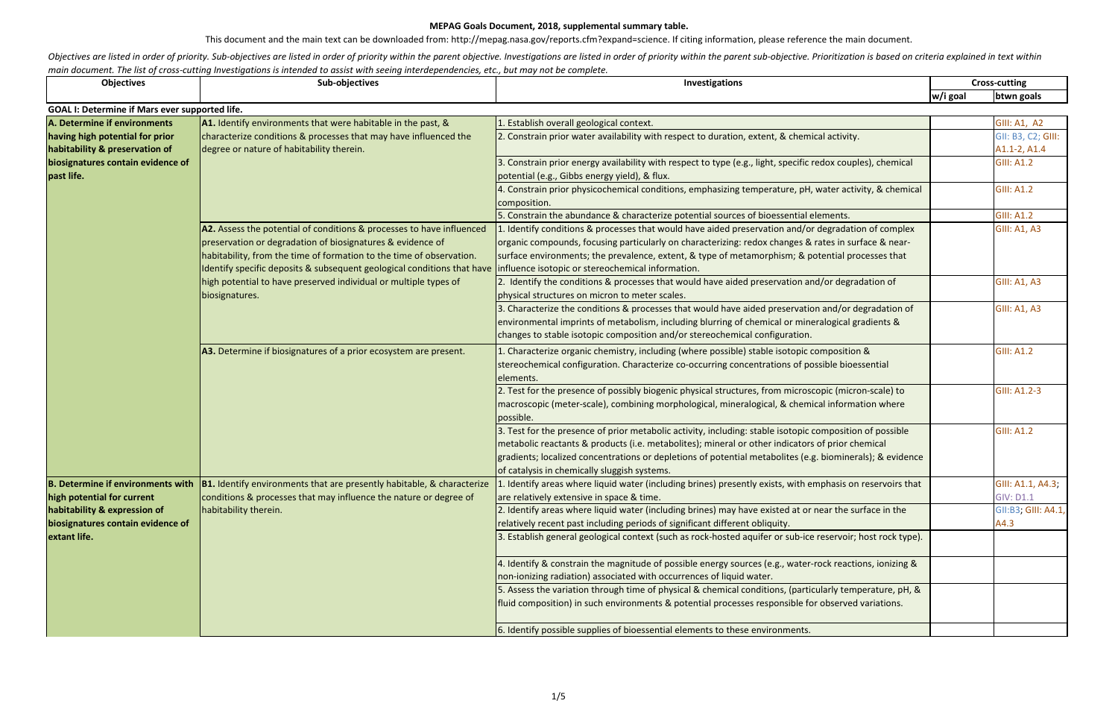This document and the main text can be downloaded from: http://mepag.nasa.gov/reports.cfm?expand=science. If citing information, please reference the main document.

Objectives are listed in order of priority. Sub-objectives are listed in order of priority within the parent objective. Investigations are listed in order of priority within the parent sub-objective. Prioritization is base *main document. The list of cross-cutting Investigations is intended to assist with seeing interdependencies, etc., but may not be complete.*

| <b>Objectives</b>                               | Sub-objectives                                                                                                | Investigations                                                                                                                                                                   | <b>Cross-cutting</b> |                     |
|-------------------------------------------------|---------------------------------------------------------------------------------------------------------------|----------------------------------------------------------------------------------------------------------------------------------------------------------------------------------|----------------------|---------------------|
|                                                 |                                                                                                               |                                                                                                                                                                                  | w/i goal             | btwn goals          |
| GOAL I: Determine if Mars ever supported life.  |                                                                                                               |                                                                                                                                                                                  |                      |                     |
| A. Determine if environments                    | A1. Identify environments that were habitable in the past, &                                                  | 1. Establish overall geological context.                                                                                                                                         |                      | <b>GIII: A1, A2</b> |
| having high potential for prior                 | characterize conditions & processes that may have influenced the<br>degree or nature of habitability therein. | 2. Constrain prior water availability with respect to duration, extent, & chemical activity.                                                                                     |                      | GII: B3, C2; GIII:  |
| habitability & preservation of                  |                                                                                                               |                                                                                                                                                                                  |                      | A1.1-2, A1.4        |
| biosignatures contain evidence of<br>past life. |                                                                                                               | 3. Constrain prior energy availability with respect to type (e.g., light, specific redox couples), chemical                                                                      |                      | <b>GIII: A1.2</b>   |
|                                                 |                                                                                                               | potential (e.g., Gibbs energy yield), & flux.                                                                                                                                    |                      |                     |
|                                                 |                                                                                                               | 4. Constrain prior physicochemical conditions, emphasizing temperature, pH, water activity, & chemical                                                                           |                      | <b>GIII: A1.2</b>   |
|                                                 |                                                                                                               | composition.                                                                                                                                                                     |                      |                     |
|                                                 |                                                                                                               | 5. Constrain the abundance & characterize potential sources of bioessential elements.                                                                                            |                      | <b>GIII: A1.2</b>   |
|                                                 | A2. Assess the potential of conditions & processes to have influenced                                         | . Identify conditions & processes that would have aided preservation and/or degradation of complex                                                                               |                      | <b>GIII: A1, A3</b> |
|                                                 | preservation or degradation of biosignatures & evidence of                                                    | lorganic compounds, focusing particularly on characterizing: redox changes & rates in surface & near-                                                                            |                      |                     |
|                                                 | habitability, from the time of formation to the time of observation.                                          | surface environments; the prevalence, extent, & type of metamorphism; & potential processes that                                                                                 |                      |                     |
|                                                 | Identify specific deposits & subsequent geological conditions that have                                       | influence isotopic or stereochemical information.                                                                                                                                |                      |                     |
|                                                 | high potential to have preserved individual or multiple types of<br>biosignatures.                            | 2. Identify the conditions & processes that would have aided preservation and/or degradation of                                                                                  |                      | <b>GIII: A1, A3</b> |
|                                                 |                                                                                                               | physical structures on micron to meter scales.                                                                                                                                   |                      |                     |
|                                                 |                                                                                                               | 3. Characterize the conditions & processes that would have aided preservation and/or degradation of                                                                              |                      | <b>GIII: A1, A3</b> |
|                                                 |                                                                                                               | environmental imprints of metabolism, including blurring of chemical or mineralogical gradients &                                                                                |                      |                     |
|                                                 |                                                                                                               | changes to stable isotopic composition and/or stereochemical configuration.                                                                                                      |                      |                     |
|                                                 | A3. Determine if biosignatures of a prior ecosystem are present.                                              | 1. Characterize organic chemistry, including (where possible) stable isotopic composition &                                                                                      |                      | <b>GIII: A1.2</b>   |
|                                                 |                                                                                                               | stereochemical configuration. Characterize co-occurring concentrations of possible bioessential                                                                                  |                      |                     |
|                                                 |                                                                                                               | elements.                                                                                                                                                                        |                      |                     |
|                                                 |                                                                                                               | 2. Test for the presence of possibly biogenic physical structures, from microscopic (micron-scale) to                                                                            |                      | GIII: A1.2-3        |
|                                                 |                                                                                                               | macroscopic (meter-scale), combining morphological, mineralogical, & chemical information where                                                                                  |                      |                     |
|                                                 |                                                                                                               | possible.                                                                                                                                                                        |                      |                     |
|                                                 |                                                                                                               | 3. Test for the presence of prior metabolic activity, including: stable isotopic composition of possible                                                                         |                      | <b>GIII: A1.2</b>   |
|                                                 |                                                                                                               | metabolic reactants & products (i.e. metabolites); mineral or other indicators of prior chemical                                                                                 |                      |                     |
|                                                 |                                                                                                               | gradients; localized concentrations or depletions of potential metabolites (e.g. biominerals); & evidence                                                                        |                      |                     |
|                                                 |                                                                                                               | of catalysis in chemically sluggish systems.                                                                                                                                     |                      |                     |
|                                                 | B. Determine if environments with  B1. Identify environments that are presently habitable, & characterize     | $\vert$ 1. Identify areas where liquid water (including brines) presently exists, with emphasis on reservoirs that                                                               |                      | GIII: A1.1, A4.3;   |
| high potential for current                      | conditions & processes that may influence the nature or degree of                                             | are relatively extensive in space & time.                                                                                                                                        |                      | <b>GIV: D1.1</b>    |
| habitability & expression of                    | habitability therein.                                                                                         | 2. Identify areas where liquid water (including brines) may have existed at or near the surface in the                                                                           |                      | GII:B3; GIII: A4.1, |
| biosignatures contain evidence of               |                                                                                                               | relatively recent past including periods of significant different obliquity.                                                                                                     |                      | A4.3                |
| extant life.                                    |                                                                                                               | 3. Establish general geological context (such as rock-hosted aquifer or sub-ice reservoir; host rock type).                                                                      |                      |                     |
|                                                 |                                                                                                               |                                                                                                                                                                                  |                      |                     |
|                                                 |                                                                                                               | 4. Identify & constrain the magnitude of possible energy sources (e.g., water-rock reactions, ionizing &                                                                         |                      |                     |
|                                                 |                                                                                                               | non-ionizing radiation) associated with occurrences of liquid water.<br>5. Assess the variation through time of physical & chemical conditions, (particularly temperature, pH, & |                      |                     |
|                                                 |                                                                                                               | fluid composition) in such environments & potential processes responsible for observed variations.                                                                               |                      |                     |
|                                                 |                                                                                                               |                                                                                                                                                                                  |                      |                     |
|                                                 |                                                                                                               | 6. Identify possible supplies of bioessential elements to these environments.                                                                                                    |                      |                     |
|                                                 |                                                                                                               |                                                                                                                                                                                  |                      |                     |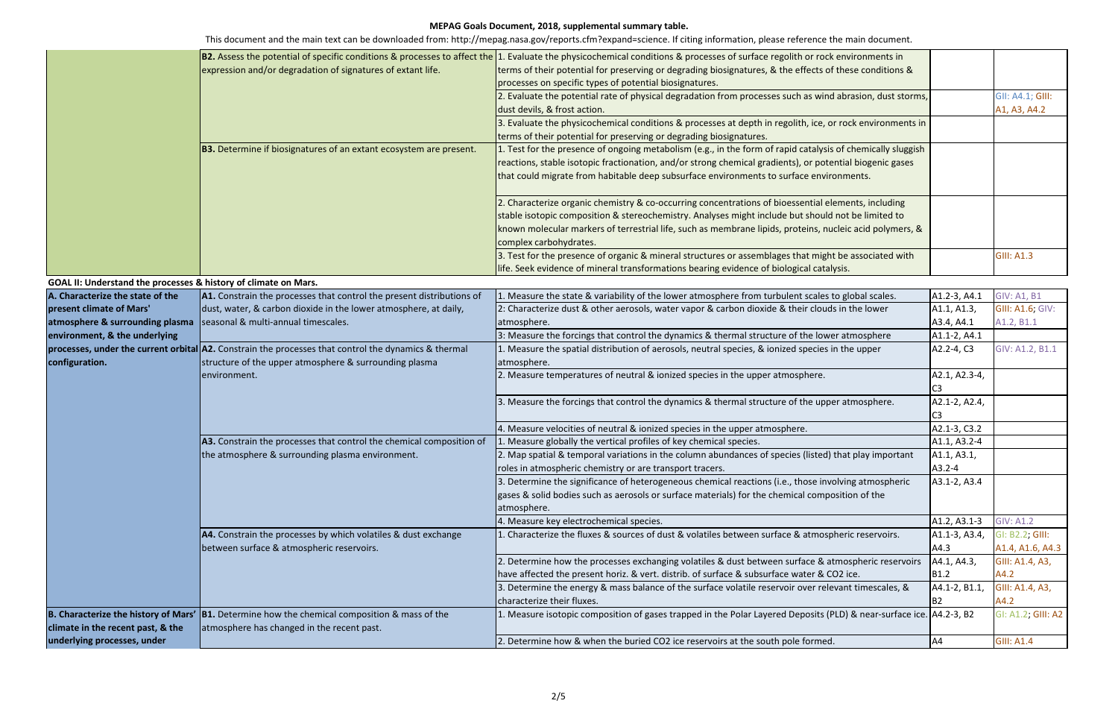|                                                                       |                                                                                                                        | B2. Assess the potential of specific conditions & processes to affect the 1. Evaluate the physicochemical conditions & processes of surface regolith or rock environments in |                  |                    |
|-----------------------------------------------------------------------|------------------------------------------------------------------------------------------------------------------------|------------------------------------------------------------------------------------------------------------------------------------------------------------------------------|------------------|--------------------|
|                                                                       | expression and/or degradation of signatures of extant life.                                                            | terms of their potential for preserving or degrading biosignatures, & the effects of these conditions &                                                                      |                  |                    |
|                                                                       |                                                                                                                        | processes on specific types of potential biosignatures.                                                                                                                      |                  |                    |
|                                                                       |                                                                                                                        | 2. Evaluate the potential rate of physical degradation from processes such as wind abrasion, dust storms,                                                                    |                  | GII: A4.1; GIII:   |
|                                                                       |                                                                                                                        | dust devils, & frost action.                                                                                                                                                 |                  | A1, A3, A4.2       |
|                                                                       |                                                                                                                        | 3. Evaluate the physicochemical conditions & processes at depth in regolith, ice, or rock environments in                                                                    |                  |                    |
|                                                                       |                                                                                                                        | terms of their potential for preserving or degrading biosignatures.                                                                                                          |                  |                    |
|                                                                       | <b>B3.</b> Determine if biosignatures of an extant ecosystem are present.                                              | 1. Test for the presence of ongoing metabolism (e.g., in the form of rapid catalysis of chemically sluggish                                                                  |                  |                    |
|                                                                       |                                                                                                                        | reactions, stable isotopic fractionation, and/or strong chemical gradients), or potential biogenic gases                                                                     |                  |                    |
|                                                                       |                                                                                                                        | that could migrate from habitable deep subsurface environments to surface environments.                                                                                      |                  |                    |
|                                                                       |                                                                                                                        |                                                                                                                                                                              |                  |                    |
|                                                                       |                                                                                                                        | 2. Characterize organic chemistry & co-occurring concentrations of bioessential elements, including                                                                          |                  |                    |
|                                                                       |                                                                                                                        | stable isotopic composition & stereochemistry. Analyses might include but should not be limited to                                                                           |                  |                    |
|                                                                       |                                                                                                                        | known molecular markers of terrestrial life, such as membrane lipids, proteins, nucleic acid polymers, &                                                                     |                  |                    |
|                                                                       |                                                                                                                        | complex carbohydrates.                                                                                                                                                       |                  |                    |
|                                                                       |                                                                                                                        | 3. Test for the presence of organic & mineral structures or assemblages that might be associated with                                                                        |                  | <b>GIII: A1.3</b>  |
|                                                                       |                                                                                                                        | life. Seek evidence of mineral transformations bearing evidence of biological catalysis.                                                                                     |                  |                    |
| GOAL II: Understand the processes & history of climate on Mars.       |                                                                                                                        |                                                                                                                                                                              |                  |                    |
| A. Characterize the state of the                                      | A1. Constrain the processes that control the present distributions of                                                  | 1. Measure the state & variability of the lower atmosphere from turbulent scales to global scales.                                                                           | A1.2-3, A4.1     | <b>GIV: A1, B1</b> |
| present climate of Mars'                                              | dust, water, & carbon dioxide in the lower atmosphere, at daily,                                                       | 2: Characterize dust & other aerosols, water vapor & carbon dioxide & their clouds in the lower                                                                              | A1.1, A1.3,      | GIII: A1.6; GIV:   |
| atmosphere & surrounding plasma   seasonal & multi-annual timescales. |                                                                                                                        | atmosphere.                                                                                                                                                                  | A3.4, A4.1       | A1.2, B1.1         |
| environment, & the underlying                                         |                                                                                                                        | 3: Measure the forcings that control the dynamics & thermal structure of the lower atmosphere                                                                                | A1.1-2, A4.1     |                    |
|                                                                       | processes, under the current orbital A2. Constrain the processes that control the dynamics & thermal                   | 1. Measure the spatial distribution of aerosols, neutral species, & ionized species in the upper                                                                             | A2.2-4, C3       | GIV: A1.2, B1.1    |
| configuration.                                                        | structure of the upper atmosphere & surrounding plasma                                                                 | atmosphere.                                                                                                                                                                  |                  |                    |
|                                                                       | environment.                                                                                                           | 2. Measure temperatures of neutral & ionized species in the upper atmosphere.                                                                                                | A2.1, A2.3-4,    |                    |
|                                                                       |                                                                                                                        |                                                                                                                                                                              | C <sub>3</sub>   |                    |
|                                                                       |                                                                                                                        | 3. Measure the forcings that control the dynamics & thermal structure of the upper atmosphere.                                                                               | A2.1-2, A2.4,    |                    |
|                                                                       |                                                                                                                        |                                                                                                                                                                              |                  |                    |
|                                                                       |                                                                                                                        | 4. Measure velocities of neutral & ionized species in the upper atmosphere.                                                                                                  | A2.1-3, C3.2     |                    |
|                                                                       | A3. Constrain the processes that control the chemical composition of                                                   | 1. Measure globally the vertical profiles of key chemical species.                                                                                                           | A1.1, A3.2-4     |                    |
|                                                                       | the atmosphere & surrounding plasma environment.                                                                       | 2. Map spatial & temporal variations in the column abundances of species (listed) that play important                                                                        | A1.1, A3.1,      |                    |
|                                                                       |                                                                                                                        | roles in atmospheric chemistry or are transport tracers.                                                                                                                     | $A3.2 - 4$       |                    |
|                                                                       |                                                                                                                        | 3. Determine the significance of heterogeneous chemical reactions (i.e., those involving atmospheric                                                                         | A3.1-2, A3.4     |                    |
|                                                                       |                                                                                                                        | gases & solid bodies such as aerosols or surface materials) for the chemical composition of the                                                                              |                  |                    |
|                                                                       |                                                                                                                        | atmosphere.                                                                                                                                                                  |                  |                    |
|                                                                       |                                                                                                                        | 4. Measure key electrochemical species.                                                                                                                                      | A1.2, A3.1-3     | <b>GIV: A1.2</b>   |
|                                                                       | A4. Constrain the processes by which volatiles & dust exchange                                                         | 1. Characterize the fluxes & sources of dust & volatiles between surface & atmospheric reservoirs.                                                                           | A1.1-3, A3.4,    | GI: B2.2; GIII:    |
|                                                                       | between surface & atmospheric reservoirs.                                                                              |                                                                                                                                                                              | A4.3             | A1.4, A1.6, A4.3   |
|                                                                       |                                                                                                                        | 2. Determine how the processes exchanging volatiles & dust between surface & atmospheric reservoirs                                                                          | A4.1, A4.3,      | GIII: A1.4, A3,    |
|                                                                       |                                                                                                                        | have affected the present horiz. & vert. distrib. of surface & subsurface water & CO2 ice.                                                                                   | B <sub>1.2</sub> | A4.2               |
|                                                                       |                                                                                                                        | 3. Determine the energy & mass balance of the surface volatile reservoir over relevant timescales, &                                                                         | A4.1-2, B1.1,    | GIII: A1.4, A3,    |
|                                                                       |                                                                                                                        | characterize their fluxes.                                                                                                                                                   | B <sub>2</sub>   | A4.2               |
|                                                                       | <b>B. Characterize the history of Mars' <math>\vert</math>B1.</b> Determine how the chemical composition & mass of the | 1. Measure isotopic composition of gases trapped in the Polar Layered Deposits (PLD) & near-surface ice. A4.2-3, B2                                                          |                  | GI: A1.2; GIII: A2 |
| climate in the recent past, & the                                     | atmosphere has changed in the recent past.                                                                             |                                                                                                                                                                              |                  |                    |
| underlying processes, under                                           |                                                                                                                        | 2. Determine how & when the buried CO2 ice reservoirs at the south pole formed.                                                                                              | A4               | <b>GIII: A1.4</b>  |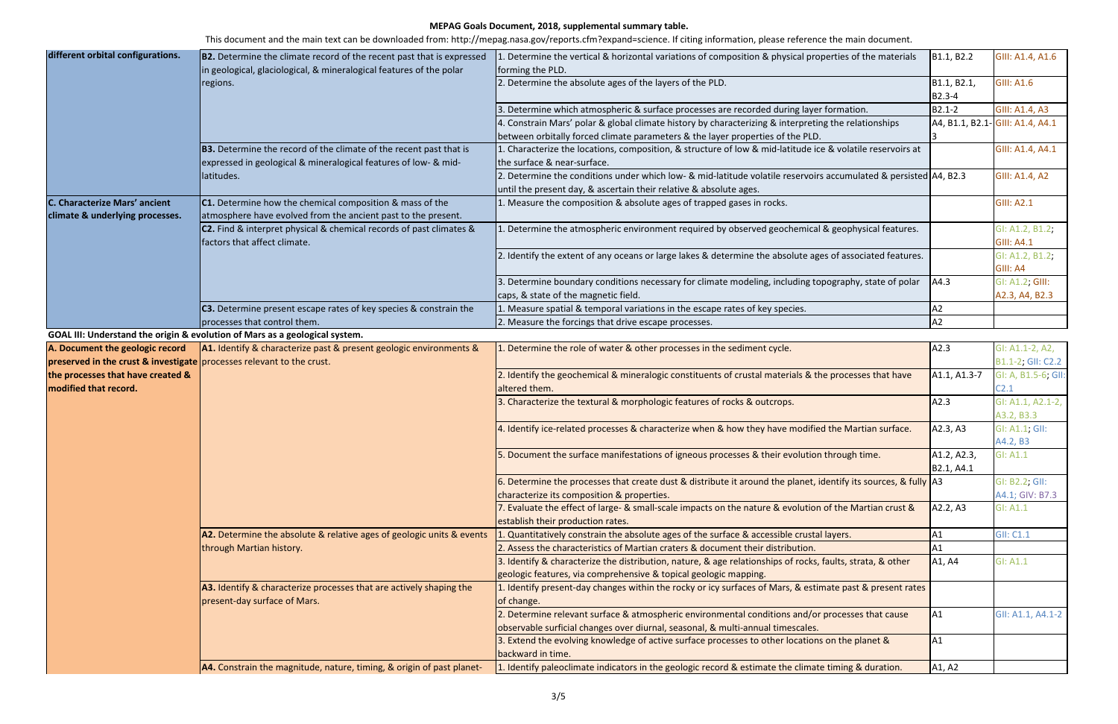| different orbital configurations.                                     | <b>B2.</b> Determine the climate record of the recent past that is expressed                      | 1. Determine the vertical & horizontal variations of composition & physical properties of the materials           | B1.1, B2.2   | GIII: A1.4, A1.6                 |
|-----------------------------------------------------------------------|---------------------------------------------------------------------------------------------------|-------------------------------------------------------------------------------------------------------------------|--------------|----------------------------------|
|                                                                       | in geological, glaciological, & mineralogical features of the polar                               | forming the PLD.                                                                                                  |              |                                  |
|                                                                       | regions.                                                                                          | 2. Determine the absolute ages of the layers of the PLD.                                                          | B1.1, B2.1,  | <b>GIII: A1.6</b>                |
|                                                                       |                                                                                                   |                                                                                                                   | B2.3-4       |                                  |
|                                                                       |                                                                                                   | 3. Determine which atmospheric & surface processes are recorded during layer formation.                           | B2.1-2       | GIII: A1.4, A3                   |
|                                                                       |                                                                                                   | 4. Constrain Mars' polar & global climate history by characterizing & interpreting the relationships              |              | A4, B1.1, B2.1- GIII: A1.4, A4.1 |
|                                                                       |                                                                                                   | between orbitally forced climate parameters & the layer properties of the PLD.                                    |              |                                  |
|                                                                       | <b>B3.</b> Determine the record of the climate of the recent past that is                         | 1. Characterize the locations, composition, & structure of low & mid-latitude ice & volatile reservoirs at        |              | GIII: A1.4, A4.1                 |
|                                                                       | expressed in geological & mineralogical features of low- & mid-                                   | the surface & near-surface.                                                                                       |              |                                  |
|                                                                       | latitudes.                                                                                        | 2. Determine the conditions under which low- & mid-latitude volatile reservoirs accumulated & persisted A4, B2.3  |              | GIII: A1.4, A2                   |
|                                                                       |                                                                                                   | until the present day, & ascertain their relative & absolute ages.                                                |              |                                  |
| C. Characterize Mars' ancient                                         | C1. Determine how the chemical composition & mass of the                                          | 1. Measure the composition & absolute ages of trapped gases in rocks.                                             |              | <b>GIII: A2.1</b>                |
| climate & underlying processes.                                       | atmosphere have evolved from the ancient past to the present.                                     |                                                                                                                   |              |                                  |
|                                                                       | C2. Find & interpret physical & chemical records of past climates &                               | 1. Determine the atmospheric environment required by observed geochemical & geophysical features.                 |              | GI: A1.2, B1.2;                  |
|                                                                       | factors that affect climate.                                                                      |                                                                                                                   |              | <b>GIII: A4.1</b>                |
|                                                                       |                                                                                                   | 2. Identify the extent of any oceans or large lakes & determine the absolute ages of associated features.         |              | GI: A1.2, B1.2;                  |
|                                                                       |                                                                                                   |                                                                                                                   |              | GIII: A4                         |
|                                                                       |                                                                                                   | 3. Determine boundary conditions necessary for climate modeling, including topography, state of polar             | AA.3         | GI: A1.2; GIII:                  |
|                                                                       |                                                                                                   | caps, & state of the magnetic field.                                                                              |              | A2.3, A4, B2.3                   |
|                                                                       | C3. Determine present escape rates of key species & constrain the                                 | 1. Measure spatial & temporal variations in the escape rates of key species.                                      | A2           |                                  |
|                                                                       | processes that control them.                                                                      | 2. Measure the forcings that drive escape processes.                                                              | A2           |                                  |
|                                                                       | GOAL III: Understand the origin & evolution of Mars as a geological system.                       |                                                                                                                   |              |                                  |
| A. Document the geologic record                                       | A1. Identify & characterize past & present geologic environments &                                | 1. Determine the role of water & other processes in the sediment cycle.                                           | A2.3         | GI: A1.1-2, A2,                  |
| preserved in the crust & investigate processes relevant to the crust. |                                                                                                   |                                                                                                                   |              | B1.1-2; GII: C2.2                |
| the processes that have created &                                     |                                                                                                   | 2. Identify the geochemical & mineralogic constituents of crustal materials & the processes that have             | A1.1, A1.3-7 | GI: A, B1.5-6; GII:              |
| modified that record.                                                 |                                                                                                   | altered them.                                                                                                     |              | C2.1                             |
|                                                                       |                                                                                                   | 3. Characterize the textural & morphologic features of rocks & outcrops.                                          | A2.3         | GI: A1.1, A2.1-2,                |
|                                                                       |                                                                                                   |                                                                                                                   |              | A3.2, B3.3                       |
|                                                                       |                                                                                                   | 4. Identify ice-related processes & characterize when & how they have modified the Martian surface.               | A2.3, A3     | GI: A1.1; GII:                   |
|                                                                       |                                                                                                   |                                                                                                                   |              | A4.2, B3                         |
|                                                                       |                                                                                                   | 5. Document the surface manifestations of igneous processes & their evolution through time.                       | A1.2, A2.3,  | GI: A1.1                         |
|                                                                       |                                                                                                   |                                                                                                                   | B2.1, A4.1   |                                  |
|                                                                       |                                                                                                   | 6. Determine the processes that create dust & distribute it around the planet, identify its sources, & fully   A3 |              | GI: B2.2; GII:                   |
|                                                                       |                                                                                                   | characterize its composition & properties.                                                                        |              | A4.1; GIV: B7.3                  |
|                                                                       |                                                                                                   | 7. Evaluate the effect of large- & small-scale impacts on the nature & evolution of the Martian crust &           | A2.2, A3     | GI: A1.1                         |
|                                                                       |                                                                                                   | establish their production rates.                                                                                 |              |                                  |
|                                                                       | A2. Determine the absolute & relative ages of geologic units & events<br>through Martian history. | . Quantitatively constrain the absolute ages of the surface & accessible crustal layers.                          | A1           | <b>GII: C1.1</b>                 |
|                                                                       |                                                                                                   | 2. Assess the characteristics of Martian craters & document their distribution.                                   | A1           |                                  |
|                                                                       |                                                                                                   | 3. Identify & characterize the distribution, nature, & age relationships of rocks, faults, strata, & other        | A1, A4       | GI: A1.1                         |
|                                                                       |                                                                                                   | geologic features, via comprehensive & topical geologic mapping.                                                  |              |                                  |
|                                                                       | A3. Identify & characterize processes that are actively shaping the                               | 1. Identify present-day changes within the rocky or icy surfaces of Mars, & estimate past & present rates         |              |                                  |
|                                                                       | present-day surface of Mars.                                                                      | of change.                                                                                                        |              |                                  |
|                                                                       |                                                                                                   | 2. Determine relevant surface & atmospheric environmental conditions and/or processes that cause                  | A1           | GII: A1.1, A4.1-2                |
|                                                                       |                                                                                                   | observable surficial changes over diurnal, seasonal, & multi-annual timescales.                                   |              |                                  |
|                                                                       |                                                                                                   | 3. Extend the evolving knowledge of active surface processes to other locations on the planet &                   | A1           |                                  |
|                                                                       |                                                                                                   | backward in time.                                                                                                 |              |                                  |
|                                                                       | <b>A4.</b> Constrain the magnitude, nature, timing, & origin of past planet-                      | 1. Identify paleoclimate indicators in the geologic record & estimate the climate timing & duration.              | A1, A2       |                                  |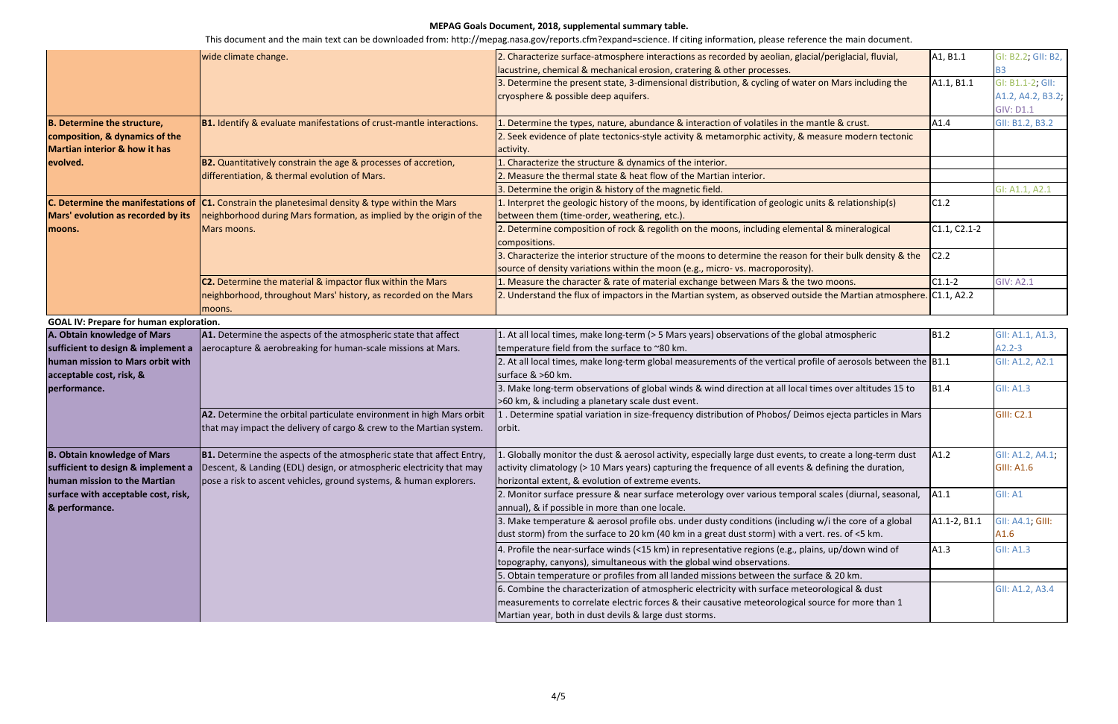|                                                | wide climate change.                                                        | 2. Characterize surface-atmosphere interactions as recorded by aeolian, glacial/periglacial, fluvial,               | A1, B1.1       | GI: B2.2; GII: B2, |
|------------------------------------------------|-----------------------------------------------------------------------------|---------------------------------------------------------------------------------------------------------------------|----------------|--------------------|
|                                                |                                                                             | lacustrine, chemical & mechanical erosion, cratering & other processes.                                             |                | B3                 |
|                                                |                                                                             | 3. Determine the present state, 3-dimensional distribution, & cycling of water on Mars including the                | A1.1, B1.1     | GI: B1.1-2; GII:   |
|                                                |                                                                             | cryosphere & possible deep aquifers.                                                                                |                | A1.2, A4.2, B3.2;  |
|                                                |                                                                             |                                                                                                                     |                | <b>GIV: D1.1</b>   |
| <b>B. Determine the structure,</b>             | <b>B1.</b> Identify & evaluate manifestations of crust-mantle interactions. | 1. Determine the types, nature, abundance & interaction of volatiles in the mantle & crust.                         | A1.4           | GII: B1.2, B3.2    |
| composition, & dynamics of the                 |                                                                             | 2. Seek evidence of plate tectonics-style activity & metamorphic activity, & measure modern tectonic                |                |                    |
| <b>Martian interior &amp; how it has</b>       |                                                                             | activity.                                                                                                           |                |                    |
| evolved.                                       | B2. Quantitatively constrain the age & processes of accretion,              | . Characterize the structure & dynamics of the interior.                                                            |                |                    |
|                                                | differentiation, & thermal evolution of Mars.                               | 2. Measure the thermal state & heat flow of the Martian interior.                                                   |                |                    |
|                                                |                                                                             | 3. Determine the origin & history of the magnetic field.                                                            |                | GI: A1.1, A2.1     |
| C. Determine the manifestations of             | <b>C1.</b> Constrain the planetesimal density & type within the Mars        | 1. Interpret the geologic history of the moons, by identification of geologic units & relationship(s)               | C1.2           |                    |
| Mars' evolution as recorded by its             | neighborhood during Mars formation, as implied by the origin of the         | between them (time-order, weathering, etc.).                                                                        |                |                    |
| moons.                                         | Mars moons.                                                                 | 2. Determine composition of rock & regolith on the moons, including elemental & mineralogical                       | $C1.1, C2.1-2$ |                    |
|                                                |                                                                             | compositions.                                                                                                       |                |                    |
|                                                |                                                                             | 3. Characterize the interior structure of the moons to determine the reason for their bulk density & the            | C2.2           |                    |
|                                                |                                                                             | source of density variations within the moon (e.g., micro- vs. macroporosity).                                      |                |                    |
|                                                | <b>C2.</b> Determine the material & impactor flux within the Mars           | 1. Measure the character & rate of material exchange between Mars & the two moons.                                  | $C1.1-2$       | <b>GIV: A2.1</b>   |
|                                                | neighborhood, throughout Mars' history, as recorded on the Mars             | 2. Understand the flux of impactors in the Martian system, as observed outside the Martian atmosphere. [C1.1, A2.2] |                |                    |
|                                                | moons.                                                                      |                                                                                                                     |                |                    |
| <b>GOAL IV: Prepare for human exploration.</b> |                                                                             |                                                                                                                     |                |                    |
| A. Obtain knowledge of Mars                    | A1. Determine the aspects of the atmospheric state that affect              | 1. At all local times, make long-term (> 5 Mars years) observations of the global atmospheric                       | <b>B1.2</b>    | GII: A1.1, A1.3,   |
| sufficient to design & implement a             | aerocapture & aerobreaking for human-scale missions at Mars.                | temperature field from the surface to ~80 km.                                                                       |                | $42.2 - 3$         |
| human mission to Mars orbit with               |                                                                             | 2. At all local times, make long-term global measurements of the vertical profile of aerosols between the B1.1      |                | GII: A1.2, A2.1    |
| acceptable cost, risk, &                       |                                                                             | surface & >60 km.                                                                                                   |                |                    |
| performance.                                   |                                                                             | 3. Make long-term observations of global winds & wind direction at all local times over altitudes 15 to             | <b>B1.4</b>    | <b>GII: A1.3</b>   |
|                                                |                                                                             | >60 km, & including a planetary scale dust event.                                                                   |                |                    |
|                                                | A2. Determine the orbital particulate environment in high Mars orbit        | Determine spatial variation in size-frequency distribution of Phobos/ Deimos ejecta particles in Mars.              |                | <b>GIII: C2.1</b>  |
|                                                | that may impact the delivery of cargo & crew to the Martian system.         | orbit.                                                                                                              |                |                    |
|                                                |                                                                             |                                                                                                                     |                |                    |
| <b>B. Obtain knowledge of Mars</b>             | B1. Determine the aspects of the atmospheric state that affect Entry,       | 1. Globally monitor the dust & aerosol activity, especially large dust events, to create a long-term dust           | $\vert$ A1.2   | GII: A1.2, A4.1,   |
| sufficient to design & implement a             | Descent, & Landing (EDL) design, or atmospheric electricity that may        | activity climatology (> 10 Mars years) capturing the frequence of all events & defining the duration,               |                | <b>GIII: A1.6</b>  |
| human mission to the Martian                   | pose a risk to ascent vehicles, ground systems, & human explorers.          | horizontal extent, & evolution of extreme events.                                                                   |                |                    |
| surface with acceptable cost, risk,            |                                                                             | 2. Monitor surface pressure & near surface meterology over various temporal scales (diurnal, seasonal,              | $\vert$ A1.1   | GII: A1            |
| & performance.                                 |                                                                             | annual), & if possible in more than one locale.                                                                     |                |                    |
|                                                |                                                                             | 3. Make temperature & aerosol profile obs. under dusty conditions (including w/i the core of a global               | A1.1-2, B1.1   | GII: A4.1; GIII:   |
|                                                |                                                                             | dust storm) from the surface to 20 km (40 km in a great dust storm) with a vert. res. of <5 km.                     |                | A1.6               |
|                                                |                                                                             |                                                                                                                     |                |                    |
|                                                |                                                                             | 4. Profile the near-surface winds (<15 km) in representative regions (e.g., plains, up/down wind of                 | A1.3           | <b>GII: A1.3</b>   |
|                                                |                                                                             | topography, canyons), simultaneous with the global wind observations.                                               |                |                    |
|                                                |                                                                             | 5. Obtain temperature or profiles from all landed missions between the surface & 20 km.                             |                |                    |
|                                                |                                                                             | 6. Combine the characterization of atmospheric electricity with surface meteorological & dust                       |                | GII: A1.2, A3.4    |
|                                                |                                                                             | measurements to correlate electric forces & their causative meteorological source for more than 1                   |                |                    |
|                                                |                                                                             | Martian year, both in dust devils & large dust storms.                                                              |                |                    |